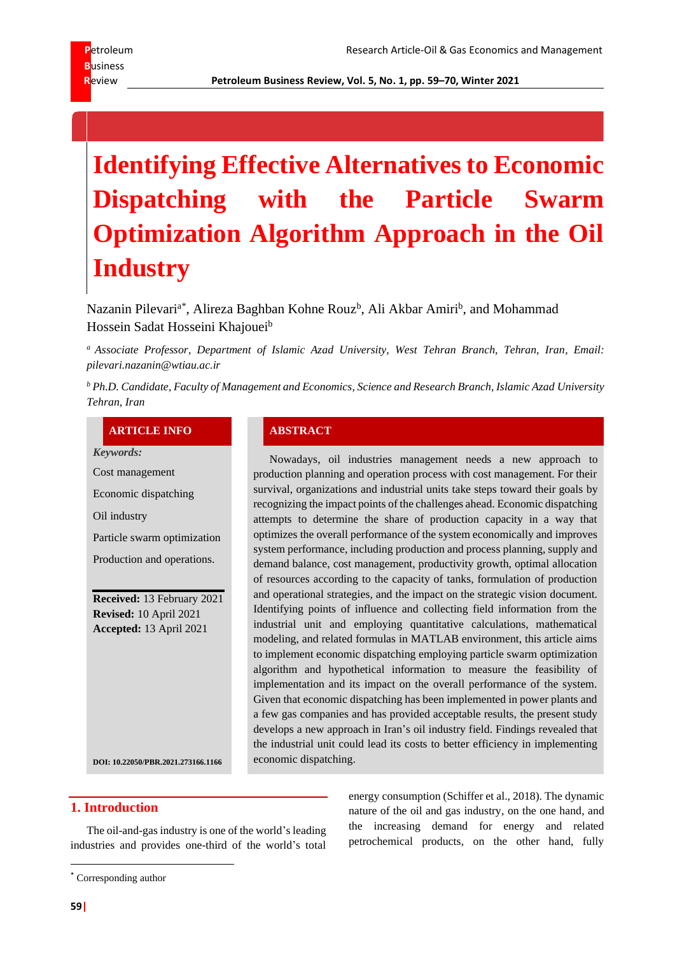**R**eview **Petroleum Business Review, Vol. 5, No. 1, pp. 59–70, Winter 2021**

# **Identifying Effective Alternatives to Economic Dispatching with the Particle Swarm Optimization Algorithm Approach in the Oil Industry**

Nazanin Pilevari<sup>a\*</sup>, Alireza Baghban Kohne Rouz<sup>b</sup>, Ali Akbar Amiri<sup>b</sup>, and Mohammad Hossein Sadat Hosseini Khajouei<sup>b</sup>

*<sup>a</sup> Associate Professor, Department of Islamic Azad University, West Tehran Branch, Tehran, Iran, Email: pilevari.nazanin@wtiau.ac.ir*

*<sup>b</sup> Ph.D. Candidate, Faculty of Management and Economics, Science and Research Branch, Islamic Azad University Tehran, Iran*

#### **ARTICLE INFO ABSTRACT**

*Keywords:*

Cost management

Economic dispatching

Oil industry

Particle swarm optimization

Production and operations.

**Received:** 13 February 2021 **Revised:** 10 April 2021 **Accepted:** 13 April 2021

Nowadays, oil industries management needs a new approach to production planning and operation process with cost management. For their survival, organizations and industrial units take steps toward their goals by recognizing the impact points of the challenges ahead. Economic dispatching attempts to determine the share of production capacity in a way that optimizes the overall performance of the system economically and improves system performance, including production and process planning, supply and demand balance, cost management, productivity growth, optimal allocation of resources according to the capacity of tanks, formulation of production and operational strategies, and the impact on the strategic vision document. Identifying points of influence and collecting field information from the industrial unit and employing quantitative calculations, mathematical modeling, and related formulas in MATLAB environment, this article aims to implement economic dispatching employing particle swarm optimization algorithm and hypothetical information to measure the feasibility of implementation and its impact on the overall performance of the system. Given that economic dispatching has been implemented in power plants and a few gas companies and has provided acceptable results, the present study develops a new approach in Iran's oil industry field. Findings revealed that the industrial unit could lead its costs to better efficiency in implementing economic dispatching.

**DOI[: 10.22050/PBR.2021.273166.1166](https://dx.doi.org/10.22050/pbr.2021.273166.1166)**

### **1. Introduction**

The oil-and-gas industry is one of the world's leading industries and provides one-third of the world's total

<sup>\*</sup> Corresponding author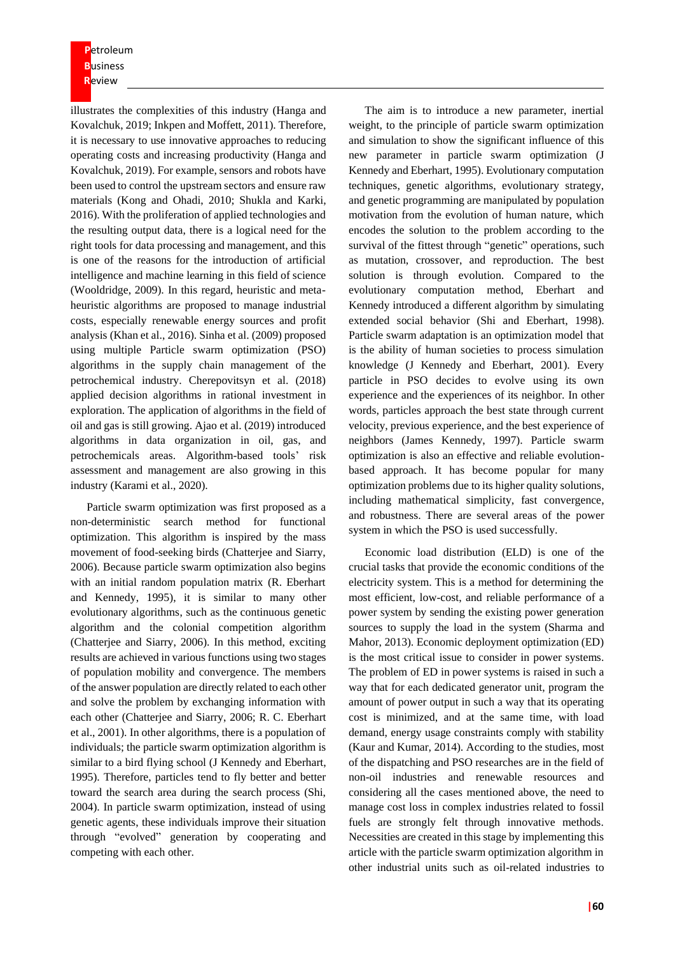**P**etroleum **B**usiness **R**eview

illustrates the complexities of this industry (Hanga and Kovalchuk, 2019; Inkpen and Moffett, 2011). Therefore, it is necessary to use innovative approaches to reducing operating costs and increasing productivity (Hanga and Kovalchuk, 2019). For example, sensors and robots have been used to control the upstream sectors and ensure raw materials (Kong and Ohadi, 2010; Shukla and Karki, 2016). With the proliferation of applied technologies and the resulting output data, there is a logical need for the right tools for data processing and management, and this is one of the reasons for the introduction of artificial intelligence and machine learning in this field of science (Wooldridge, 2009). In this regard, heuristic and metaheuristic algorithms are proposed to manage industrial costs, especially renewable energy sources and profit analysis (Khan et al., 2016). Sinha et al. (2009) proposed using multiple Particle swarm optimization (PSO) algorithms in the supply chain management of the petrochemical industry. Cherepovitsyn et al. (2018) applied decision algorithms in rational investment in exploration. The application of algorithms in the field of oil and gas is still growing. Ajao et al. (2019) introduced algorithms in data organization in oil, gas, and petrochemicals areas. Algorithm-based tools' risk assessment and management are also growing in this industry (Karami et al., 2020).

Particle swarm optimization was first proposed as a non-deterministic search method for functional optimization. This algorithm is inspired by the mass movement of food-seeking birds (Chatterjee and Siarry, 2006). Because particle swarm optimization also begins with an initial random population matrix (R. Eberhart and Kennedy, 1995), it is similar to many other evolutionary algorithms, such as the continuous genetic algorithm and the colonial competition algorithm (Chatterjee and Siarry, 2006). In this method, exciting results are achieved in various functions using two stages of population mobility and convergence. The members of the answer population are directly related to each other and solve the problem by exchanging information with each other (Chatterjee and Siarry, 2006; R. C. Eberhart et al., 2001). In other algorithms, there is a population of individuals; the particle swarm optimization algorithm is similar to a bird flying school (J Kennedy and Eberhart, 1995). Therefore, particles tend to fly better and better toward the search area during the search process (Shi, 2004). In particle swarm optimization, instead of using genetic agents, these individuals improve their situation through "evolved" generation by cooperating and competing with each other.

The aim is to introduce a new parameter, inertial weight, to the principle of particle swarm optimization and simulation to show the significant influence of this new parameter in particle swarm optimization (J Kennedy and Eberhart, 1995). Evolutionary computation techniques, genetic algorithms, evolutionary strategy, and genetic programming are manipulated by population motivation from the evolution of human nature, which encodes the solution to the problem according to the survival of the fittest through "genetic" operations, such as mutation, crossover, and reproduction. The best solution is through evolution. Compared to the evolutionary computation method, Eberhart and Kennedy introduced a different algorithm by simulating extended social behavior (Shi and Eberhart, 1998). Particle swarm adaptation is an optimization model that is the ability of human societies to process simulation knowledge (J Kennedy and Eberhart, 2001). Every particle in PSO decides to evolve using its own experience and the experiences of its neighbor. In other words, particles approach the best state through current velocity, previous experience, and the best experience of neighbors (James Kennedy, 1997). Particle swarm optimization is also an effective and reliable evolutionbased approach. It has become popular for many optimization problems due to its higher quality solutions, including mathematical simplicity, fast convergence, and robustness. There are several areas of the power system in which the PSO is used successfully.

Economic load distribution (ELD) is one of the crucial tasks that provide the economic conditions of the electricity system. This is a method for determining the most efficient, low-cost, and reliable performance of a power system by sending the existing power generation sources to supply the load in the system (Sharma and Mahor, 2013). Economic deployment optimization (ED) is the most critical issue to consider in power systems. The problem of ED in power systems is raised in such a way that for each dedicated generator unit, program the amount of power output in such a way that its operating cost is minimized, and at the same time, with load demand, energy usage constraints comply with stability (Kaur and Kumar, 2014). According to the studies, most of the dispatching and PSO researches are in the field of non-oil industries and renewable resources and considering all the cases mentioned above, the need to manage cost loss in complex industries related to fossil fuels are strongly felt through innovative methods. Necessities are created in this stage by implementing this article with the particle swarm optimization algorithm in other industrial units such as oil-related industries to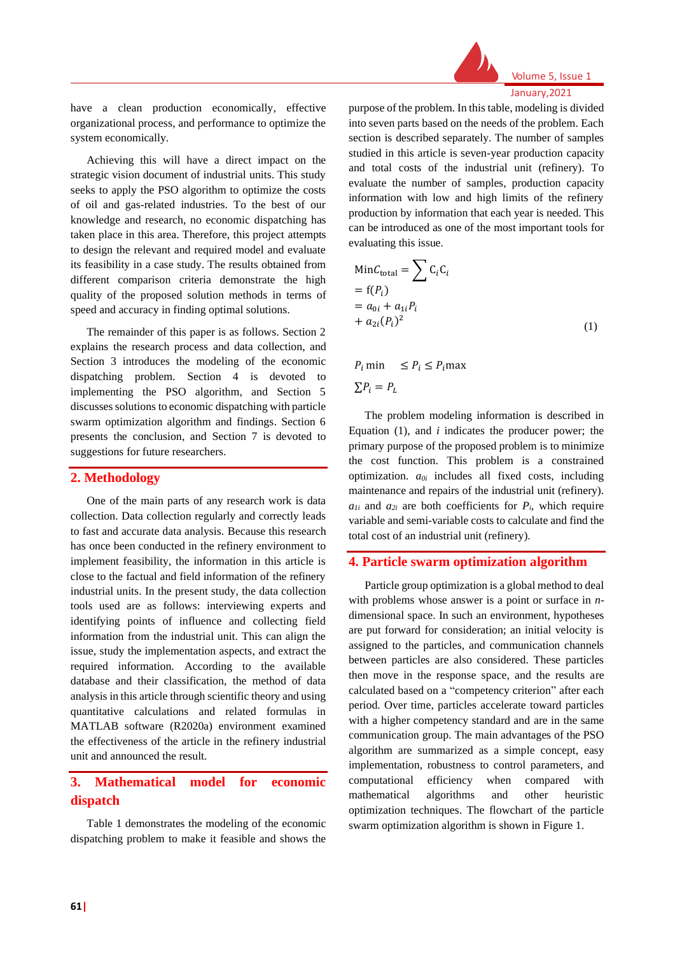

January,2021

have a clean production economically, effective organizational process, and performance to optimize the system economically.

Achieving this will have a direct impact on the strategic vision document of industrial units. This study seeks to apply the PSO algorithm to optimize the costs of oil and gas-related industries. To the best of our knowledge and research, no economic dispatching has taken place in this area. Therefore, this project attempts to design the relevant and required model and evaluate its feasibility in a case study. The results obtained from different comparison criteria demonstrate the high quality of the proposed solution methods in terms of speed and accuracy in finding optimal solutions.

The remainder of this paper is as follows. Section 2 explains the research process and data collection, and Section 3 introduces the modeling of the economic dispatching problem. Section 4 is devoted to implementing the PSO algorithm, and Section 5 discusses solutions to economic dispatching with particle swarm optimization algorithm and findings. Section 6 presents the conclusion, and Section 7 is devoted to suggestions for future researchers.

#### **2. Methodology**

One of the main parts of any research work is data collection. Data collection regularly and correctly leads to fast and accurate data analysis. Because this research has once been conducted in the refinery environment to implement feasibility, the information in this article is close to the factual and field information of the refinery industrial units. In the present study, the data collection tools used are as follows: interviewing experts and identifying points of influence and collecting field information from the industrial unit. This can align the issue, study the implementation aspects, and extract the required information. According to the available database and their classification, the method of data analysis in this article through scientific theory and using quantitative calculations and related formulas in MATLAB software (R2020a) environment examined the effectiveness of the article in the refinery industrial unit and announced the result.

# **3. Mathematical model for economic dispatch**

Table 1 demonstrates the modeling of the economic dispatching problem to make it feasible and shows the purpose of the problem. In this table, modeling is divided into seven parts based on the needs of the problem. Each section is described separately. The number of samples studied in this article is seven-year production capacity and total costs of the industrial unit (refinery). To evaluate the number of samples, production capacity information with low and high limits of the refinery production by information that each year is needed. This can be introduced as one of the most important tools for evaluating this issue.

$$
MinC_{total} = \sum C_i C_i
$$
  
= f(P<sub>i</sub>)  
= a<sub>oi</sub> + a<sub>1i</sub>P<sub>i</sub>  
+ a<sub>2i</sub>(P<sub>i</sub>)<sup>2</sup> (1)

 $P_i$  min  $\leq P_i \leq P_i$  max  $\sum P_i = P_L$ 

The problem modeling information is described in Equation (1), and *i* indicates the producer power; the primary purpose of the proposed problem is to minimize the cost function. This problem is a constrained optimization. *a0i* includes all fixed costs, including maintenance and repairs of the industrial unit (refinery).  $a_{1i}$  and  $a_{2i}$  are both coefficients for  $P_i$ , which require variable and semi-variable costs to calculate and find the total cost of an industrial unit (refinery).

#### **4. Particle swarm optimization algorithm**

Particle group optimization is a global method to deal with problems whose answer is a point or surface in *n*dimensional space. In such an environment, hypotheses are put forward for consideration; an initial velocity is assigned to the particles, and communication channels between particles are also considered. These particles then move in the response space, and the results are calculated based on a "competency criterion" after each period. Over time, particles accelerate toward particles with a higher competency standard and are in the same communication group. The main advantages of the PSO algorithm are summarized as a simple concept, easy implementation, robustness to control parameters, and computational efficiency when compared with mathematical algorithms and other heuristic optimization techniques. The flowchart of the particle swarm optimization algorithm is shown in Figure 1.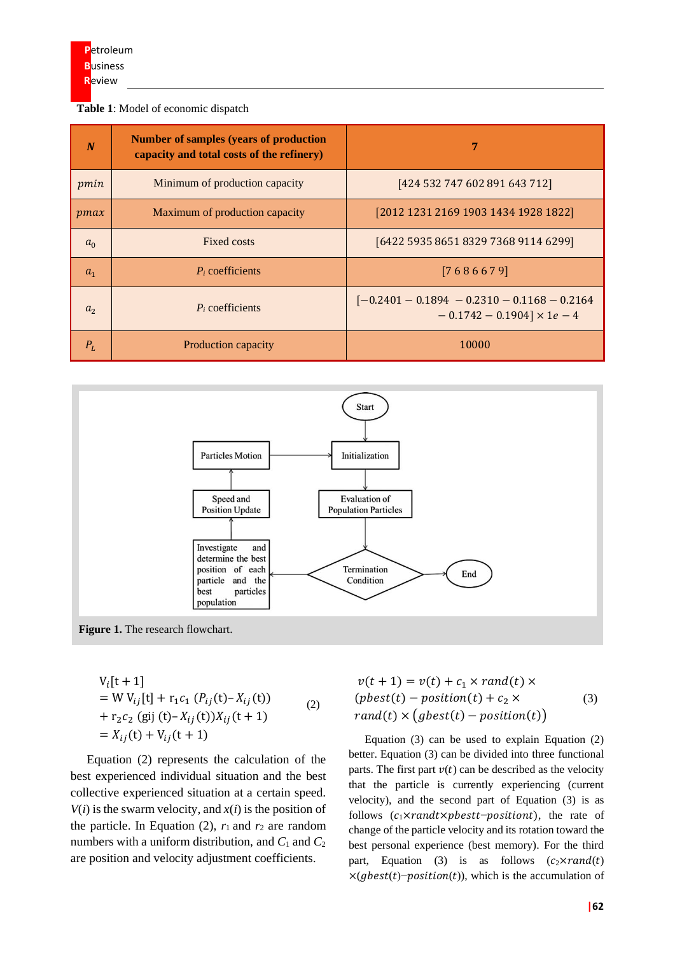#### **Table 1**: Model of economic dispatch

| N              | <b>Number of samples (years of production</b><br>capacity and total costs of the refinery) | 7                                                                                   |
|----------------|--------------------------------------------------------------------------------------------|-------------------------------------------------------------------------------------|
| pmin           | Minimum of production capacity                                                             | [424 532 747 602 891 643 712]                                                       |
| pmax           | Maximum of production capacity                                                             | [2012 1231 2169 1903 1434 1928 1822]                                                |
| $a_0$          | Fixed costs                                                                                | [6422 5935 8651 8329 7368 9114 6299]                                                |
| $a_1$          | $P_i$ coefficients                                                                         | [7686679]                                                                           |
| a <sub>2</sub> | $P_i$ coefficients                                                                         | $[-0.2401 - 0.1894 - 0.2310 - 0.1168 - 0.2164]$<br>$-0.1742 - 0.1904 \times 1e - 4$ |
| $P_L$          | Production capacity                                                                        | 10000                                                                               |



**Figure 1.** The research flowchart.

$$
V_i[t + 1]
$$
  
= W V<sub>ij</sub>[t] + r<sub>1</sub>c<sub>1</sub> (P<sub>ij</sub>(t) – X<sub>ij</sub>(t))  
+ r<sub>2</sub>c<sub>2</sub> (gij (t) – X<sub>ij</sub>(t))X<sub>ij</sub>(t + 1)  
= X<sub>ij</sub>(t) + V<sub>ij</sub>(t + 1)

Equation (2) represents the calculation of the best experienced individual situation and the best collective experienced situation at a certain speed.  $V(i)$  is the swarm velocity, and  $x(i)$  is the position of the particle. In Equation (2),  $r_1$  and  $r_2$  are random numbers with a uniform distribution, and  $C_1$  and  $C_2$ are position and velocity adjustment coefficients.

$$
v(t + 1) = v(t) + c_1 \times rand(t) \times
$$
  
(*pbest*(*t*) – *position*(*t*) + *c*<sub>2</sub> × (3)  
rand(*t*) × (*gbest*(*t*) – *position*(*t*))

Equation (3) can be used to explain Equation (2) better. Equation (3) can be divided into three functional parts. The first part  $v(t)$  can be described as the velocity that the particle is currently experiencing (current velocity), and the second part of Equation (3) is as follows  $(c_1 \times rand \times pbest-position t)$ , the rate of change of the particle velocity and its rotation toward the best personal experience (best memory). For the third part, Equation (3) is as follows  $(c_2 \times rand(t))$  $\times$ (gbest(t)–position(t)), which is the accumulation of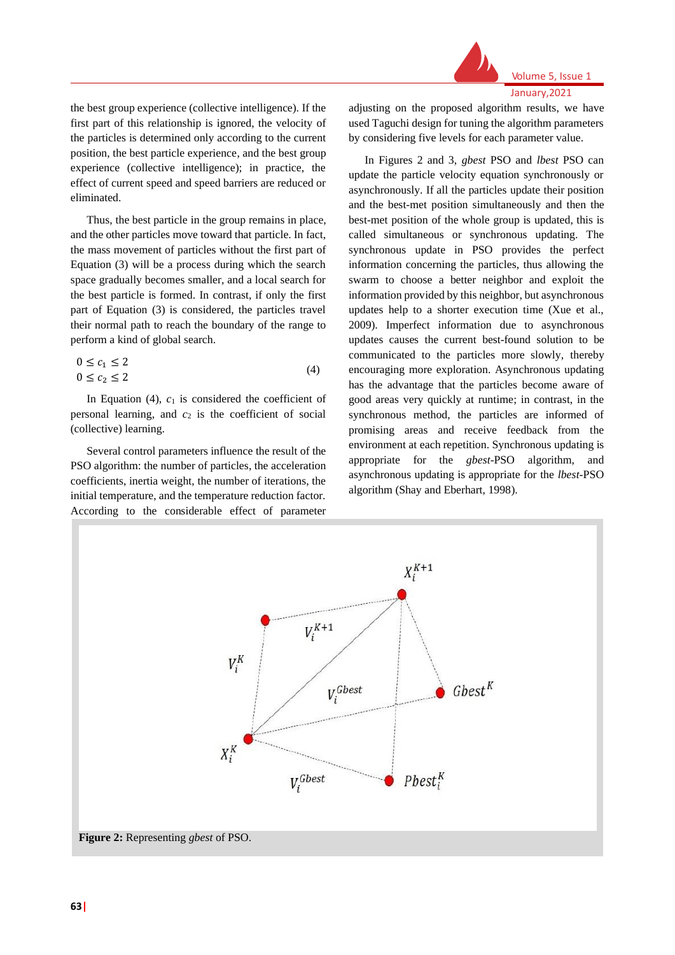

Volume 5, Issue 1 January,2021

the best group experience (collective intelligence). If the first part of this relationship is ignored, the velocity of the particles is determined only according to the current position, the best particle experience, and the best group experience (collective intelligence); in practice, the effect of current speed and speed barriers are reduced or eliminated.

Thus, the best particle in the group remains in place, and the other particles move toward that particle. In fact, the mass movement of particles without the first part of Equation (3) will be a process during which the search space gradually becomes smaller, and a local search for the best particle is formed. In contrast, if only the first part of Equation (3) is considered, the particles travel their normal path to reach the boundary of the range to perform a kind of global search.

$$
0 \le c_1 \le 2
$$
  
 
$$
0 \le c_2 \le 2
$$
 (4)

In Equation  $(4)$ ,  $c_1$  is considered the coefficient of personal learning, and  $c_2$  is the coefficient of social (collective) learning.

Several control parameters influence the result of the PSO algorithm: the number of particles, the acceleration coefficients, inertia weight, the number of iterations, the initial temperature, and the temperature reduction factor. According to the considerable effect of parameter adjusting on the proposed algorithm results, we have used Taguchi design for tuning the algorithm parameters by considering five levels for each parameter value.

In Figures 2 and 3, *gbest* PSO and *lbest* PSO can update the particle velocity equation synchronously or asynchronously. If all the particles update their position and the best-met position simultaneously and then the best-met position of the whole group is updated, this is called simultaneous or synchronous updating. The synchronous update in PSO provides the perfect information concerning the particles, thus allowing the swarm to choose a better neighbor and exploit the information provided by this neighbor, but asynchronous updates help to a shorter execution time (Xue et al., 2009). Imperfect information due to asynchronous updates causes the current best-found solution to be communicated to the particles more slowly, thereby encouraging more exploration. Asynchronous updating has the advantage that the particles become aware of good areas very quickly at runtime; in contrast, in the synchronous method, the particles are informed of promising areas and receive feedback from the environment at each repetition. Synchronous updating is appropriate for the *gbest*-PSO algorithm, and asynchronous updating is appropriate for the *lbest*-PSO algorithm (Shay and Eberhart, 1998).

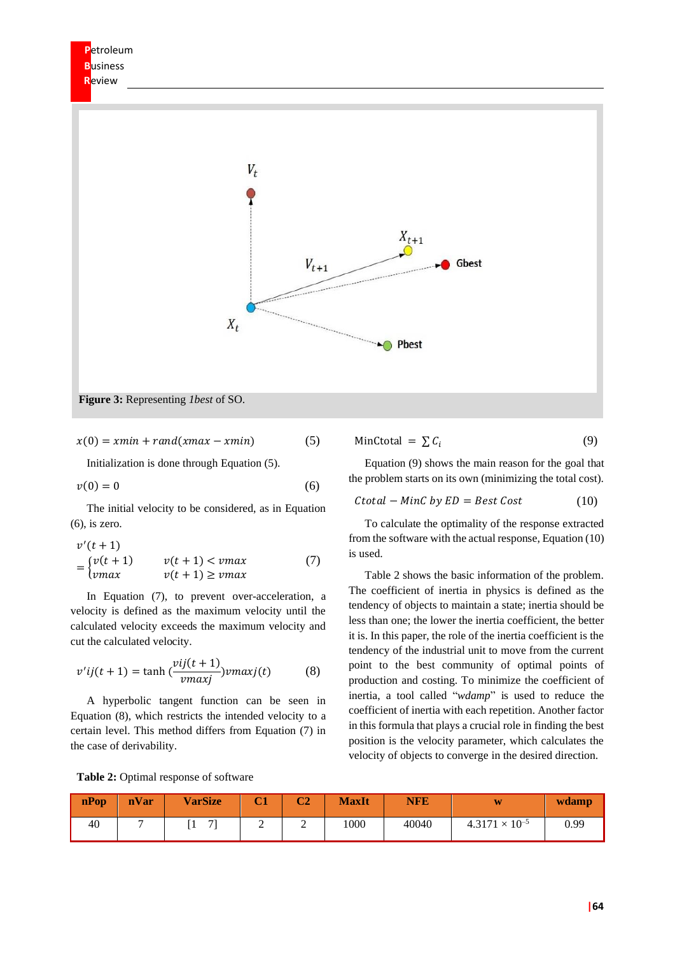

 $x(0) = xmin + rand(xmax - xmin)$  (5)

Initialization is done through Equation (5).

$$
v(0) = 0 \tag{6}
$$

The initial velocity to be considered, as in Equation (6), is zero.

$$
v'(t+1)
$$
  
= 
$$
\begin{cases} v(t+1) & v(t+1) < v \text{max} \\ v \text{max} & v(t+1) \ge v \text{max} \end{cases}
$$
 (7)

In Equation (7), to prevent over-acceleration, a velocity is defined as the maximum velocity until the calculated velocity exceeds the maximum velocity and cut the calculated velocity.

$$
v'ij(t+1) = \tanh\left(\frac{vij(t+1)}{vmaxj}\right) vmaxj(t) \tag{8}
$$

A hyperbolic tangent function can be seen in Equation (8), which restricts the intended velocity to a certain level. This method differs from Equation (7) in the case of derivability.

$$
MinCtotal = \sum C_i
$$
 (9)

Equation (9) shows the main reason for the goal that the problem starts on its own (minimizing the total cost).

$$
Ctotal - MinC by ED = Best Cost
$$
 (10)

To calculate the optimality of the response extracted from the software with the actual response, Equation (10) is used.

Table 2 shows the basic information of the problem. The coefficient of inertia in physics is defined as the tendency of objects to maintain a state; inertia should be less than one; the lower the inertia coefficient, the better it is. In this paper, the role of the inertia coefficient is the tendency of the industrial unit to move from the current point to the best community of optimal points of production and costing. To minimize the coefficient of inertia, a tool called "*wdamp*" is used to reduce the coefficient of inertia with each repetition. Another factor in this formula that plays a crucial role in finding the best position is the velocity parameter, which calculates the velocity of objects to converge in the desired direction.

| nPop | nVar | <b>VarSize</b> |   | $\sim$ | <b>MaxIt</b> | <b>NFE</b> | W                       | wdamp |
|------|------|----------------|---|--------|--------------|------------|-------------------------|-------|
| 40   |      | $\mathbf{z}$   | , | ∸      | 1000         | 40040      | $4.3171 \times 10^{-5}$ | 0.99  |

**Table 2:** Optimal response of software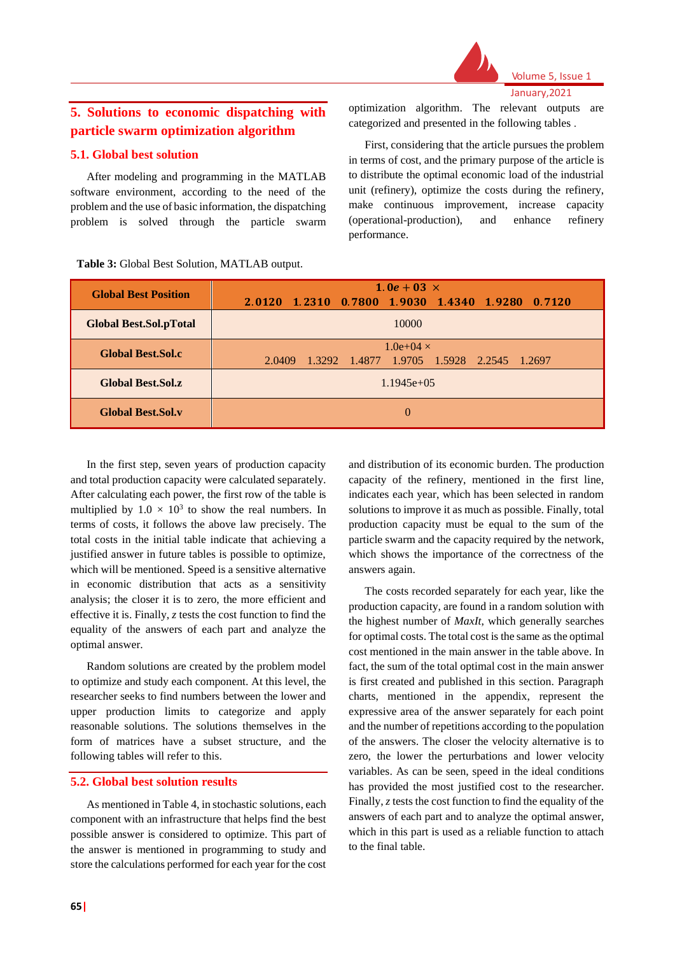

#### Volume 5, Issue 1 January,2021

# **5. Solutions to economic dispatching with particle swarm optimization algorithm**

#### **5.1. Global best solution**

After modeling and programming in the MATLAB software environment, according to the need of the problem and the use of basic information, the dispatching problem is solved through the particle swarm optimization algorithm. The relevant outputs are categorized and presented in the following tables .

First, considering that the article pursues the problem in terms of cost, and the primary purpose of the article is to distribute the optimal economic load of the industrial unit (refinery), optimize the costs during the refinery, make continuous improvement, increase capacity (operational-production), and enhance refinery performance.

| <b>Global Best Position</b>   | 1.0e + 03 $\times$                                  |  |  |  |  |  |
|-------------------------------|-----------------------------------------------------|--|--|--|--|--|
|                               | 2.0120 1.2310 0.7800 1.9030 1.4340 1.9280 0.7120    |  |  |  |  |  |
| <b>Global Best.Sol.pTotal</b> | 10000                                               |  |  |  |  |  |
| <b>Global Best, Sol.c</b>     | $1.0e+04 \times$                                    |  |  |  |  |  |
|                               | 1.3292 1.4877 1.9705 1.5928 2.2545 1.2697<br>2.0409 |  |  |  |  |  |
| <b>Global Best, Sol.z</b>     | $1.1945e+05$                                        |  |  |  |  |  |
| <b>Global Best.Sol.v</b>      | 0                                                   |  |  |  |  |  |

**Table 3:** Global Best Solution, MATLAB output.

In the first step, seven years of production capacity and total production capacity were calculated separately. After calculating each power, the first row of the table is multiplied by  $1.0 \times 10^3$  to show the real numbers. In terms of costs, it follows the above law precisely. The total costs in the initial table indicate that achieving a justified answer in future tables is possible to optimize, which will be mentioned. Speed is a sensitive alternative in economic distribution that acts as a sensitivity analysis; the closer it is to zero, the more efficient and effective it is. Finally, *z* tests the cost function to find the equality of the answers of each part and analyze the optimal answer.

Random solutions are created by the problem model to optimize and study each component. At this level, the researcher seeks to find numbers between the lower and upper production limits to categorize and apply reasonable solutions. The solutions themselves in the form of matrices have a subset structure, and the following tables will refer to this.

#### **5.2. Global best solution results**

As mentioned in Table 4, in stochastic solutions, each component with an infrastructure that helps find the best possible answer is considered to optimize. This part of the answer is mentioned in programming to study and store the calculations performed for each year for the cost

and distribution of its economic burden. The production capacity of the refinery, mentioned in the first line, indicates each year, which has been selected in random solutions to improve it as much as possible. Finally, total production capacity must be equal to the sum of the particle swarm and the capacity required by the network, which shows the importance of the correctness of the answers again.

The costs recorded separately for each year, like the production capacity, are found in a random solution with the highest number of *MaxIt*, which generally searches for optimal costs. The total cost is the same as the optimal cost mentioned in the main answer in the table above. In fact, the sum of the total optimal cost in the main answer is first created and published in this section. Paragraph charts, mentioned in the appendix, represent the expressive area of the answer separately for each point and the number of repetitions according to the population of the answers. The closer the velocity alternative is to zero, the lower the perturbations and lower velocity variables. As can be seen, speed in the ideal conditions has provided the most justified cost to the researcher. Finally, *z* tests the cost function to find the equality of the answers of each part and to analyze the optimal answer, which in this part is used as a reliable function to attach to the final table.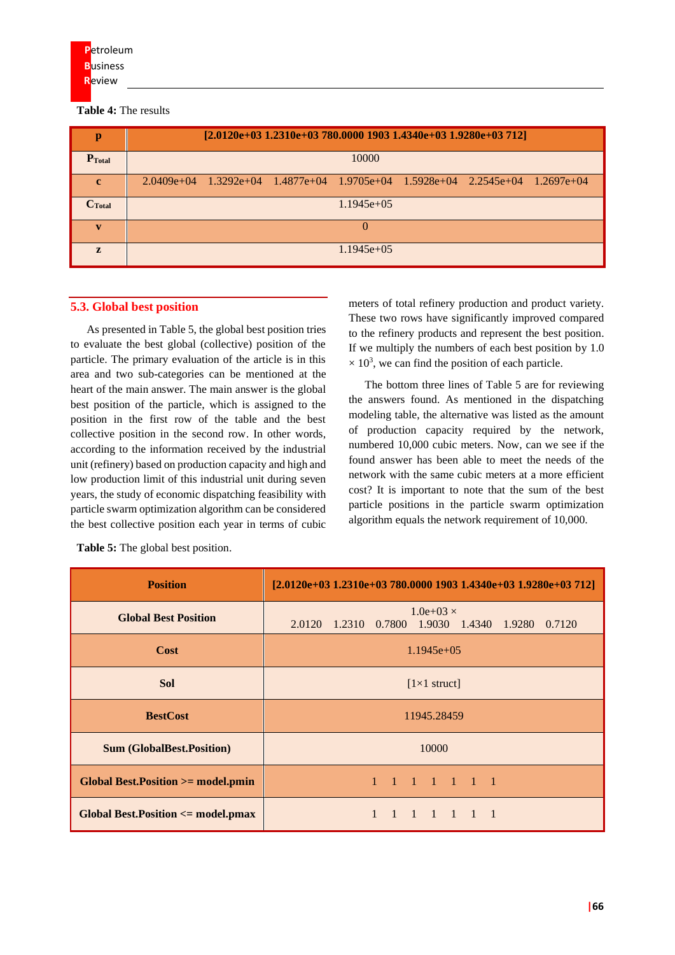**Table 4:** The results

| р                  | $[2.0120e+031.2310e+03780.000019031.4340e+031.9280e+03712]$                                |  |  |  |
|--------------------|--------------------------------------------------------------------------------------------|--|--|--|
| $P_{\text{Total}}$ | 10000                                                                                      |  |  |  |
| $\mathbf{c}$       | $2.0409e+04$ $1.3292e+04$ $1.4877e+04$ $1.9705e+04$ $1.5928e+04$ $2.2545e+04$ $1.2697e+04$ |  |  |  |
| $C_{\text{Total}}$ | $1.1945e+05$                                                                               |  |  |  |
|                    | $\Omega$                                                                                   |  |  |  |
| $\mathbf{z}$       | $1.1945e+05$                                                                               |  |  |  |

#### **5.3. Global best position**

As presented in Table 5, the global best position tries to evaluate the best global (collective) position of the particle. The primary evaluation of the article is in this area and two sub-categories can be mentioned at the heart of the main answer. The main answer is the global best position of the particle, which is assigned to the position in the first row of the table and the best collective position in the second row. In other words, according to the information received by the industrial unit (refinery) based on production capacity and high and low production limit of this industrial unit during seven years, the study of economic dispatching feasibility with particle swarm optimization algorithm can be considered the best collective position each year in terms of cubic meters of total refinery production and product variety. These two rows have significantly improved compared to the refinery products and represent the best position. If we multiply the numbers of each best position by 1.0  $\times$  10<sup>3</sup>, we can find the position of each particle.

The bottom three lines of Table 5 are for reviewing the answers found. As mentioned in the dispatching modeling table, the alternative was listed as the amount of production capacity required by the network, numbered 10,000 cubic meters. Now, can we see if the found answer has been able to meet the needs of the network with the same cubic meters at a more efficient cost? It is important to note that the sum of the best particle positions in the particle swarm optimization algorithm equals the network requirement of 10,000.

| <b>Position</b>                               | $[2.0120e+031.2310e+03780.000019031.4340e+031.9280e+03712]$          |
|-----------------------------------------------|----------------------------------------------------------------------|
| <b>Global Best Position</b>                   | $1.0e+03 \times$<br>2.0120 1.2310 0.7800 1.9030 1.4340 1.9280 0.7120 |
| Cost                                          | $1.1945e+05$                                                         |
| <b>Sol</b>                                    | $[1 \times 1$ struct]                                                |
| <b>BestCost</b>                               | 11945.28459                                                          |
| <b>Sum (GlobalBest.Position)</b>              | 10000                                                                |
| <b>Global Best. Position &gt;= model.pmin</b> | 1 1 1 1 1 1                                                          |
| <b>Global Best. Position &lt;= model.pmax</b> | $1 \t1 \t1 \t1 \t1$                                                  |

**Table 5:** The global best position.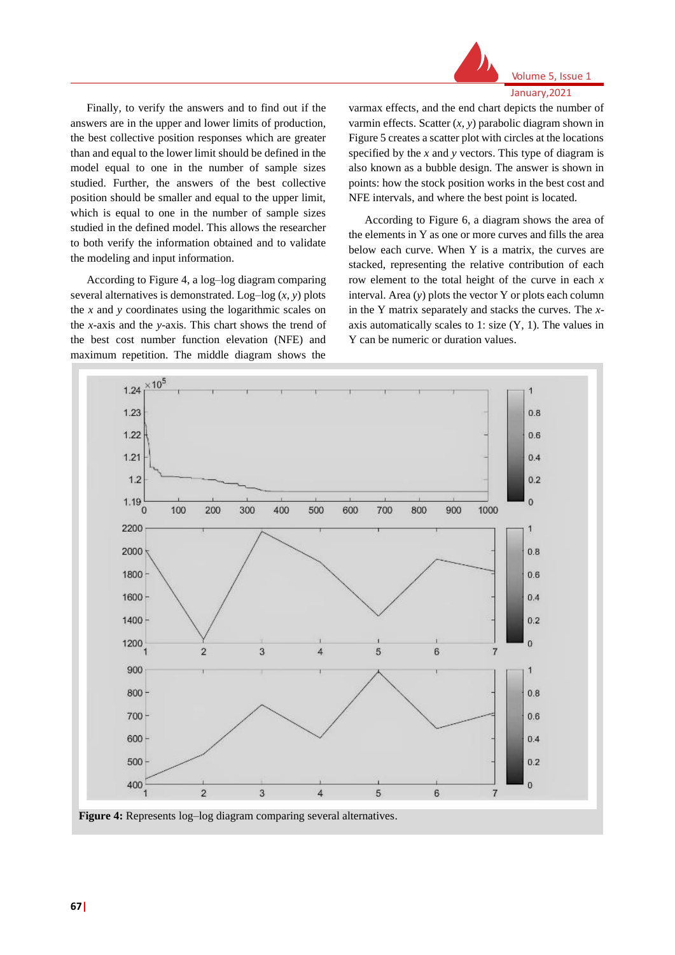

Volume 5, Issue 1 January,2021

Finally, to verify the answers and to find out if the answers are in the upper and lower limits of production, the best collective position responses which are greater than and equal to the lower limit should be defined in the model equal to one in the number of sample sizes studied. Further, the answers of the best collective position should be smaller and equal to the upper limit, which is equal to one in the number of sample sizes studied in the defined model. This allows the researcher to both verify the information obtained and to validate the modeling and input information.

According to Figure 4, a log–log diagram comparing several alternatives is demonstrated. Log–log (*x*, *y*) plots the *x* and *y* coordinates using the logarithmic scales on the *x*-axis and the *y*-axis. This chart shows the trend of the best cost number function elevation (NFE) and maximum repetition. The middle diagram shows the

varmax effects, and the end chart depicts the number of varmin effects. Scatter (*x*, *y*) parabolic diagram shown in Figure 5 creates a scatter plot with circles at the locations specified by the *x* and *y* vectors. This type of diagram is also known as a bubble design. The answer is shown in points: how the stock position works in the best cost and NFE intervals, and where the best point is located.

According to Figure 6, a diagram shows the area of the elements in Y as one or more curves and fills the area below each curve. When Y is a matrix, the curves are stacked, representing the relative contribution of each row element to the total height of the curve in each *x* interval. Area (*y*) plots the vector Y or plots each column in the Y matrix separately and stacks the curves. The *x*axis automatically scales to 1: size  $(Y, 1)$ . The values in Y can be numeric or duration values.



**Figure 4:** Represents log–log diagram comparing several alternatives.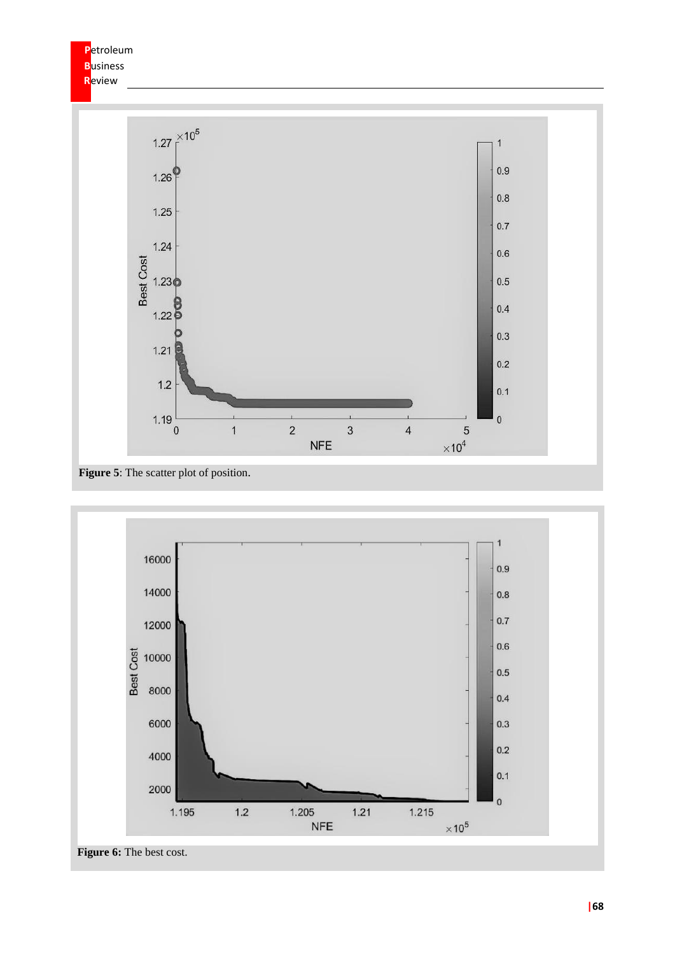

**Figure 5**: The scatter plot of position.



**Figure 6:** The best cost.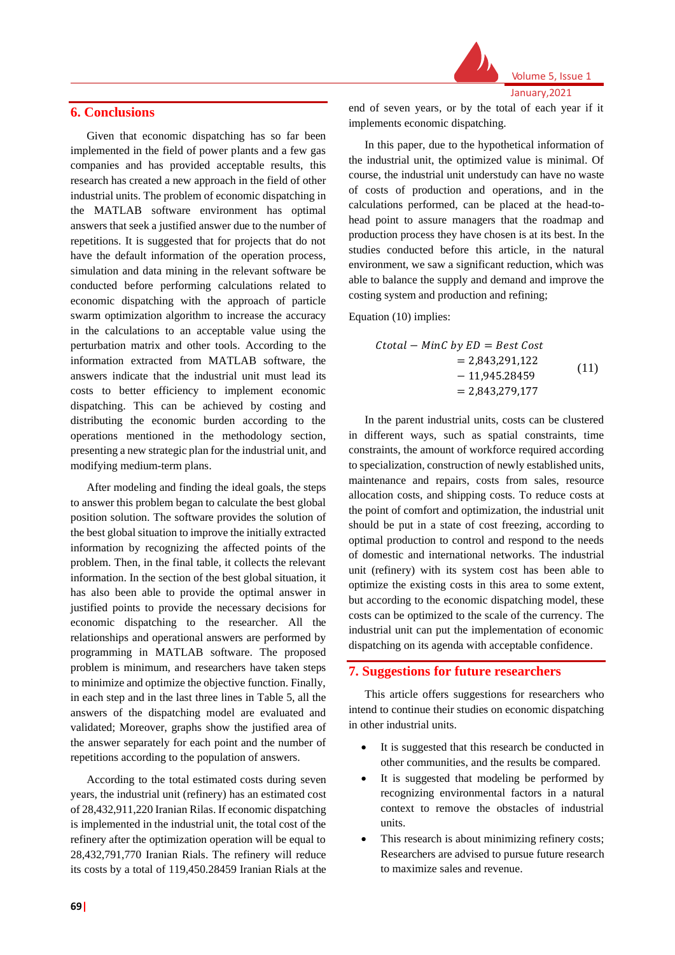#### **6. Conclusions**

Given that economic dispatching has so far been implemented in the field of power plants and a few gas companies and has provided acceptable results, this research has created a new approach in the field of other industrial units. The problem of economic dispatching in the MATLAB software environment has optimal answers that seek a justified answer due to the number of repetitions. It is suggested that for projects that do not have the default information of the operation process, simulation and data mining in the relevant software be conducted before performing calculations related to economic dispatching with the approach of particle swarm optimization algorithm to increase the accuracy in the calculations to an acceptable value using the perturbation matrix and other tools. According to the information extracted from MATLAB software, the answers indicate that the industrial unit must lead its costs to better efficiency to implement economic dispatching. This can be achieved by costing and distributing the economic burden according to the operations mentioned in the methodology section, presenting a new strategic plan for the industrial unit, and modifying medium-term plans.

After modeling and finding the ideal goals, the steps to answer this problem began to calculate the best global position solution. The software provides the solution of the best global situation to improve the initially extracted information by recognizing the affected points of the problem. Then, in the final table, it collects the relevant information. In the section of the best global situation, it has also been able to provide the optimal answer in justified points to provide the necessary decisions for economic dispatching to the researcher. All the relationships and operational answers are performed by programming in MATLAB software. The proposed problem is minimum, and researchers have taken steps to minimize and optimize the objective function. Finally, in each step and in the last three lines in Table 5, all the answers of the dispatching model are evaluated and validated; Moreover, graphs show the justified area of the answer separately for each point and the number of repetitions according to the population of answers.

According to the total estimated costs during seven years, the industrial unit (refinery) has an estimated cost of 28,432,911,220 Iranian Rilas. If economic dispatching is implemented in the industrial unit, the total cost of the refinery after the optimization operation will be equal to 28,432,791,770 Iranian Rials. The refinery will reduce its costs by a total of 119,450.28459 Iranian Rials at the



January,2021

end of seven years, or by the total of each year if it implements economic dispatching.

In this paper, due to the hypothetical information of the industrial unit, the optimized value is minimal. Of course, the industrial unit understudy can have no waste of costs of production and operations, and in the calculations performed, can be placed at the head-tohead point to assure managers that the roadmap and production process they have chosen is at its best. In the studies conducted before this article, in the natural environment, we saw a significant reduction, which was able to balance the supply and demand and improve the costing system and production and refining;

Equation (10) implies:

$$
Ctotal - MinC by ED = Best Cost
$$
  
= 2,843,291,122  
- 11,945.28459  
= 2,843,279,177 (11)

In the parent industrial units, costs can be clustered in different ways, such as spatial constraints, time constraints, the amount of workforce required according to specialization, construction of newly established units, maintenance and repairs, costs from sales, resource allocation costs, and shipping costs. To reduce costs at the point of comfort and optimization, the industrial unit should be put in a state of cost freezing, according to optimal production to control and respond to the needs of domestic and international networks. The industrial unit (refinery) with its system cost has been able to optimize the existing costs in this area to some extent, but according to the economic dispatching model, these costs can be optimized to the scale of the currency. The industrial unit can put the implementation of economic dispatching on its agenda with acceptable confidence.

#### **7. Suggestions for future researchers**

This article offers suggestions for researchers who intend to continue their studies on economic dispatching in other industrial units.

- It is suggested that this research be conducted in other communities, and the results be compared.
- It is suggested that modeling be performed by recognizing environmental factors in a natural context to remove the obstacles of industrial units.
- This research is about minimizing refinery costs; Researchers are advised to pursue future research to maximize sales and revenue.